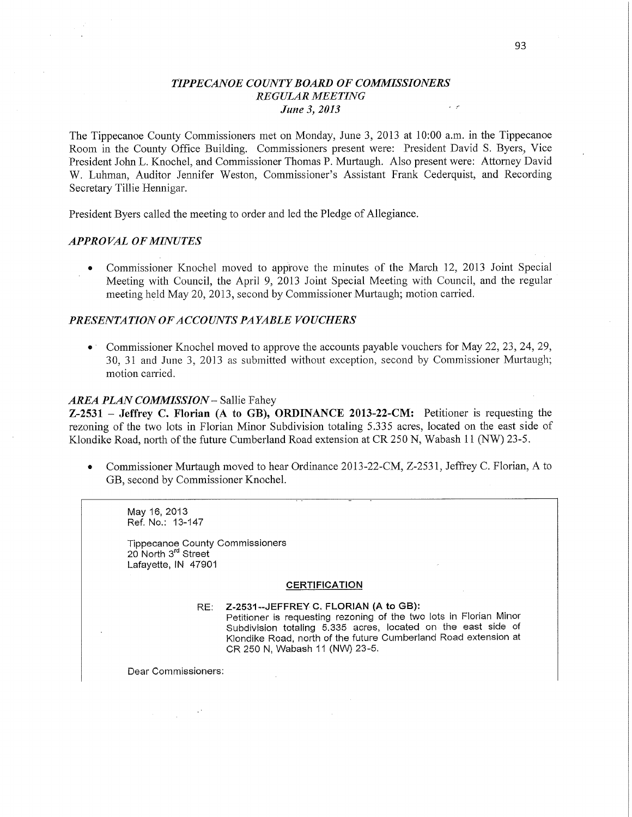### *TIPPECANOE COUNTY BOARD* OF *COMMSSIONERS*   $REGULAR MEETING$ *June* 3, *2013 ' "*

The Tippecanoe County Commissioners met on Monday, June 3, 2013 at 10:00 am. in the Tippecanoe Room in the County Office Building. Commissioners present were: President David S. Byers, Vice President John L. Knochel, and Commissioner Thomas P. Murtaugh. Also present were: Attorney David W. Luhman, Auditor Jennifer Weston, Commissioner's Assistant Frank Cederquist, and Recording Secretary Tillie **Hennigar.** 

President Byers called the meeting to order and led the Pledge of Allegiance.

### *APPROVAL* OF *MINUTES*

**0** Commissioner Knochel moved to approve the minutes of the March 12, 2013 Joint Special Meeting with Council, the April 9, 2013 Joint Special Meeting with Council, and the regular meeting held May 20, 2013, second by Commissioner Murtaugh; motion carried.

### *PRESENTATION* OF *ACCOUNT S PAYABLE VOUCHERS*

Commissioner Knochel moved to approve the accounts payable vouchers for May 22, 23, 24, 29, 30, 31 and June 3, 2013 as submitted without exception, second by Commissioner Murtaugh; motion carried.

#### *AREA PLAN COMMISSION* **—** Sallie Fahey

**Z-2531** *—* Jeffrey C. **Florian** (A to **GB), ORDINANCE 2013-22-CM:** Petitioner is requesting the rezoning of the two lots in Florian Minor Subdivision totaling 5.335 acres, located on the east side of Klondike Road, north of the future Cumberland Road extension at CR 250 N, Wabash 11 (NW) 23-5.

**0** Commissioner Murtaugh moved to hear Ordinance 2013-22-CM, Z-2531, Jeffrey C. Florian, **A** to GB, second by Commissioner Knochel.

May 16, 2013 **Ref.** No.: 13—147 Tippecanoe County **Commissioners**  20 North 3<sup>rd</sup> Street Lafayette, IN 47901

#### **CERTIFICATION**

# RE: Z-2531--JEFFREY- C. FLORIAN (A to GB):

**Petitioner** is requesting rezoning of the two **lots** In Florian Minor Subdivision totaling 5.335 acres, located on'the east **side** of Klondike Road, north of the future Cumberland Road extension at CR 250 N, Wabash 11 (NW) 23-5.

Dear **Commissioners:**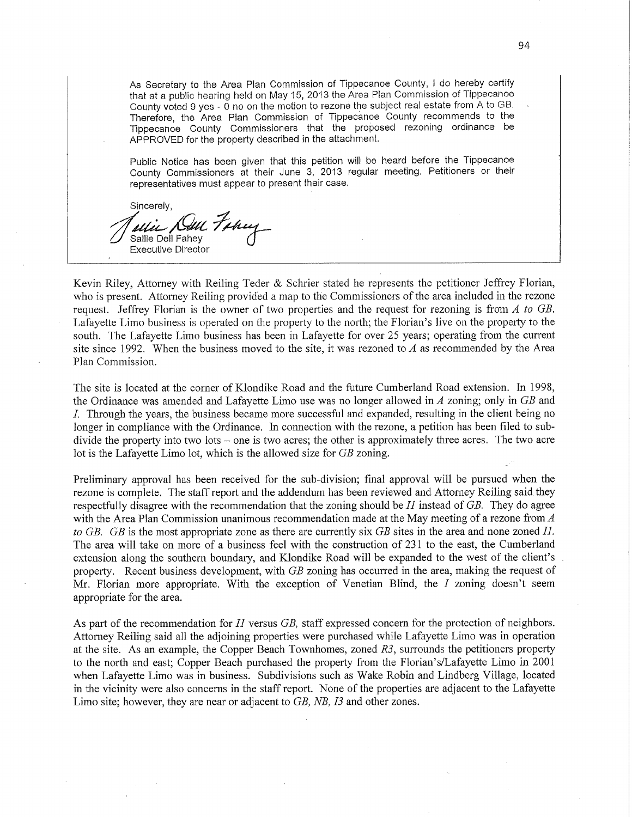As Secretary to the Area Plan Commission of Tippecanoe County, **I** do hereby certify that at a public hearing held on May 15, 2013 the Area Plan Commission of Tippecanoe County voted 9 yes - 0 no on the motion to rezone the subject real estate from A to GB. Therefore, the Area Plan **Commission** of Tippecanoe County recommends to the Tippecanoe County Commissioners that the proposed rezoning **ordinance** be APPROVED for the property **described** in the attachment.

Public Notice has been given that **this** petition **wili** be **heard** before the Tippecanoe County Commissioners at their June 3, 2013 regular meeting. Petitioners or **their representatives must appear** to **present** their case.

Sincerely,

Milie Kull Fahey Executive Director

Kevin Riley, Attorney with Reiling Teder & Schrier stated he represents the petitioner Jeffrey Florian, who is present. Attorney Reiling provided a map to the Commissioners of the area included in the rezone request. Jeffrey Florian is the owner of two properties and the request for rezoning is from *A* to GB. Lafayette Limo business is operated on the property to the north; the Florian's live on the property to the **south.** The Lafayette **Limo** business has been in Lafayette for over 25 years; operating from the current site since 1992. When the business **moved** to the site, it was rezoned to *A* as recommended by the **Area**  Plan Commission.

The site is located at the corner of Klondike Road and the future Cumberland Road extension. In 1998, the Ordinance was amended and Lafayette Limo use was no longer allowed in *A* zoning; only in GB and 1. Through the years, the business became more successful and expanded, resulting in the client being no longer in compliance with the Ordinance. In connection with the rezone, a petition has been filed to subdivide the property into two lots *—* one is two acres; the other is approximately three acres. The two acre lot is the Lafayette Limo lot, which is the allowed size for GB **zoning.** 

Preliminary approval has been received for the sub—division; final approval will be pursued **when** the rezone is complete. The **staff** report and the addendum has been reviewed and Attorney Reiling **said,** they respectfully disagree with the recommendation that the zoning should be  $II$  instead of  $GB$ . They do agree with the Area Plan Commission unanimous recommendation made at the May meeting of a rezone from A to GB. GB is the most appropriate zone as there are currently six GB **sites** in the area and none zoned I]. The area will take on more of a business feel with the construction of 231 to the east, the Cumberland extension along the southern boundary, and Klondike Road will be expanded to the west of the client's . property. Recent business development, with GB zoning has occurred in the area, making the request of Mr. Florian more appropriate. With the exception of Venetian Blind, the *I* zoning doesn't seem appropriate for the **area.** 

As part of the recommendation for II versus GB, staff expressed concern for the protection of neighbors. Attorney Reiling said all the adjoining properties were purchased while Lafayette Limo was in operation at the site. As an example, the Copper Beach Townhomes, zoned  $R_3$ , surrounds the petitioners property to the **north** and east; Copper Beach purchased the property from the Florian's/Lafayette Limo in 2001 when Lafayette Limo was in **business.** Subdivisions such as Wake Robin and Lindberg Village, located in the Vicinity were also concerns in the staff report. None of the properties are adjacent to the Lafayette Limo site; however, they are near or adjacent to GB, NB, I3 and other zones.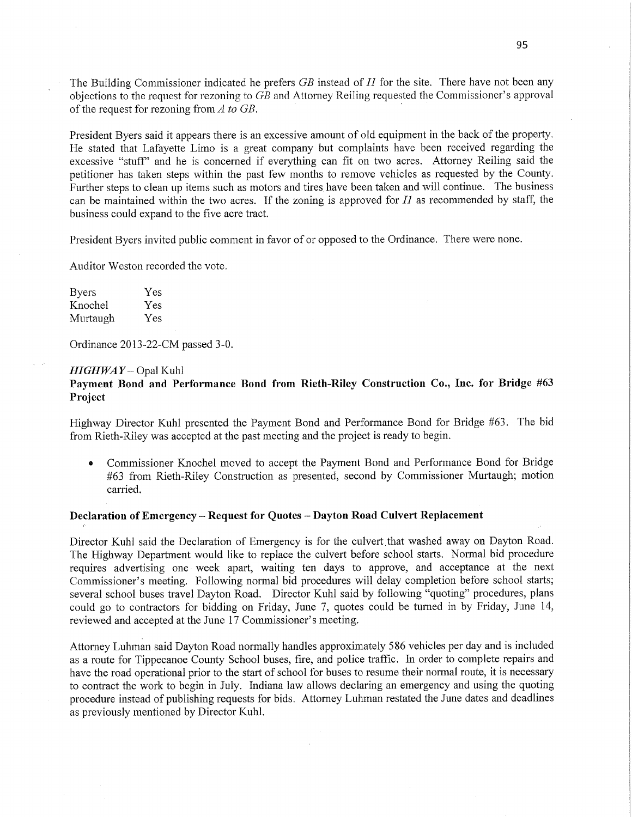The Building Commissioner indicated he prefers GB instead of II for the site. There have not been any objections to the request for rezoning to  $GB$  and Attorney Reiling requested the Commissioner's approval of the request for rezoning from *A* to GB. **'** 

President Byers said it appears there is an excessive amount of old equipment in the back of the property. He stated that Lafayette Limo is a great company but complaints have been received regarding the excessive "stuff' and he is concerned if everything can fit on two acres. Attorney Reiling said the petitioner has taken steps within the past few months to remove vehicles as requested by the County. Further steps to clean up **items** such as motors and tires, have been taken and will **continue.** The business can be maintained within the two acres. If the zoning is approved for  $II$  as recommended by staff, the business could expand to the five acre tract.

President Byers invited public comment in favor of or opposed to the Ordinance. There were none.

Auditor Weston recorded the vote.

| <b>Byers</b> | Yes |
|--------------|-----|
| Knochel      | Yes |
| Murtaugh     | Yes |

Ordinance 2013-22-CM passed 3-0.

#### *HIGHWAY* - Opal Kuhl

**Payment Bond** and **Performance Bo'nd from Rieth-Riley Construction Co., Inc.** for **Bridge** #63 **Project** 

Highway Director Kuhl presented the Payment Bond and Performance Bond for Bridge #63. The bid from Rieth—Riley was accepted at the past meeting and the project is ready to begin.

**0** Commissioner Knochel moved to accept the Payment Bond and Performance Bond for Bridge #63 from Rieth-Riley Construction as presented, second by Commissioner Murtaugh; **motion**  carried.

#### **Declaration** of **Emergency — Request** for **Quotes** -— **Dayton Road Culvert Replacement**

Director Kuhl said the Declaration of Emergency is for the culvert that washed away on Dayton Road. The Highway Department would like to replace the culvert before school **starts.** Normal bid procedure requires advertising one- week **apart,** waiting ten days to approve, and acceptance at the next Commissioner's meeting. Following normal bid procedures will delay completion before school starts; several school buses travel Dayton Road. Director Kuhl said by following "quoting" procedures, plans could go to contractors for bidding on Friday, June 7, quotes could be turned in by Friday, June 14, reviewed and accepted at the June 17 Commissioner's meeting.

Attorney Luhman said Dayton Road normally handles approximately 586 vehicles per day and is included as a route for Tippecanoe County School buses, fire, and police traffic. In order to complete repairs and have the road operational prior to the start of school for buses to resume their normal route, it is necessary to contract the work to begin in July. Indiana law allows declaring an emergency and using the quoting procedure instead of publishing requests for bids. Attorney Luhman restated the June dates and deadlines as previously mentioned by Director Kuhl.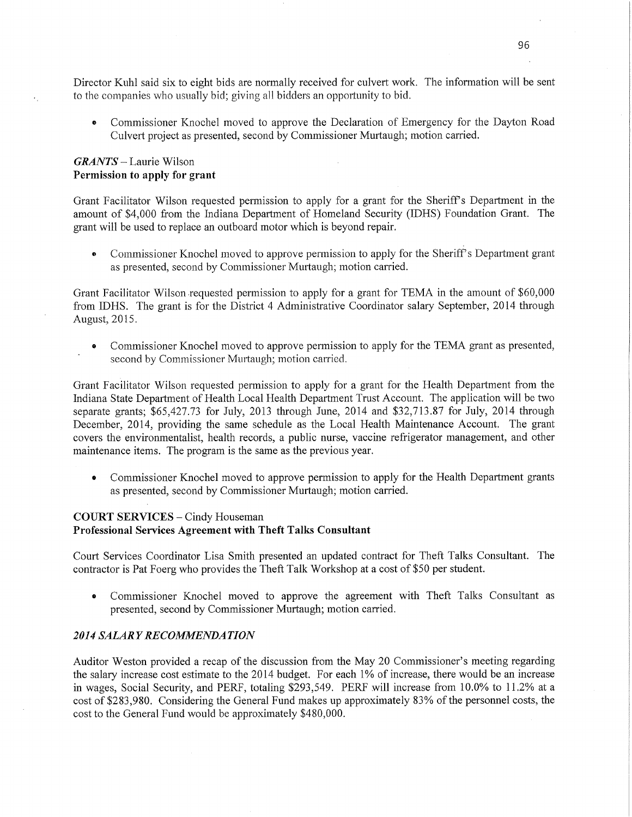Director Kuhl said six to eight bids are normally received for culvert work. The information will be sent to the companies who usually bid ; giving all bidders an opportunity to bid.

**0** Commissioner Knochel moved to approve the Declaration of Emergency for the Dayton Road Culvert project as presented, second by Commissioner Murtaugh; motion carried.

### *GRANTS —* Laurie Wilson Permission to apply for **grant**

Grant Facilitator Wilson requested permission to apply for **a** grant for the Sheriff's Department in the amount of \$4,000 from the Indiana Department of Homeland Security (IDHS) Foundation Grant. The grant will be used to replace an outboard motor which is beyond repair.

**0** Commissioner Knochel moved to approve permission to apply for the Sheriff's Department gran<sup>t</sup> as presented, second by Commissioner Murtaugh; motion carried.

Grant Facilitator Wilson requested permission to apply for a grant for TEMA in the amount of \$60,000 from IDHS. The grant is for the District 4 Administrative Coordinator salary September, 2014 through August, 2015.

**0** Commissioner Knochel moved to approve permission to apply for the TEMA grant as presented, second by Commissioner Murtaugh; motion carried.

Grant Facilitator Wilson requested permission to apply for a grant for the Health Department from the Indiana State Department of Health Local Health Department Trust Account. The application will be two separate grants; \$65,427.73 for July, 2013 through June, 2014 and \$32,713.87 for July, 2014 through December, 2014, providing the same schedule as the Local Health Maintenance Account. The gran<sup>t</sup> covers the environmentalist, health records, **<sup>a</sup>**public nurse, vaccine refrigerator management, and other maintenance items. The program is the same as the previous year.

**0** Commissioner Knochel moved to approve permission to apply for the Health Department grants as presented, second by Commissioner Murtaugh; motion carried.

# COURT SERVICES *—* Cindy Houseman **Professional** Services **Agreement with Theft Talks Consultant**

Court Services Coordinator Lisa Smith presented an updated contract for Theft Talks Consultant. The contractor is Pat Foerg who provides the Theft Talk Workshop at a cost of \$50 per student.

**0** Commissioner Knochel moved to approve the agreement with Theft Talks Consultant as presented, second by Commissioner Murtaugh; motion carried.

### 2014 SALARY RECOMMENDATION

Auditor Weston provided a recap of the discussion from the May 20 Commissioner's meeting regarding the salary increase cost estimate to the 2014 budget. For each 1% of increase, there would be an increase in wages, Social Security, and PERF, totaling \$293,549. PERF will increase from 10.0% to 11.2% at a cost of \$283,980. Considering the General Fund makes up approximately 83% of the personnel costs, the cost to the General Fund would be approximately \$480,000.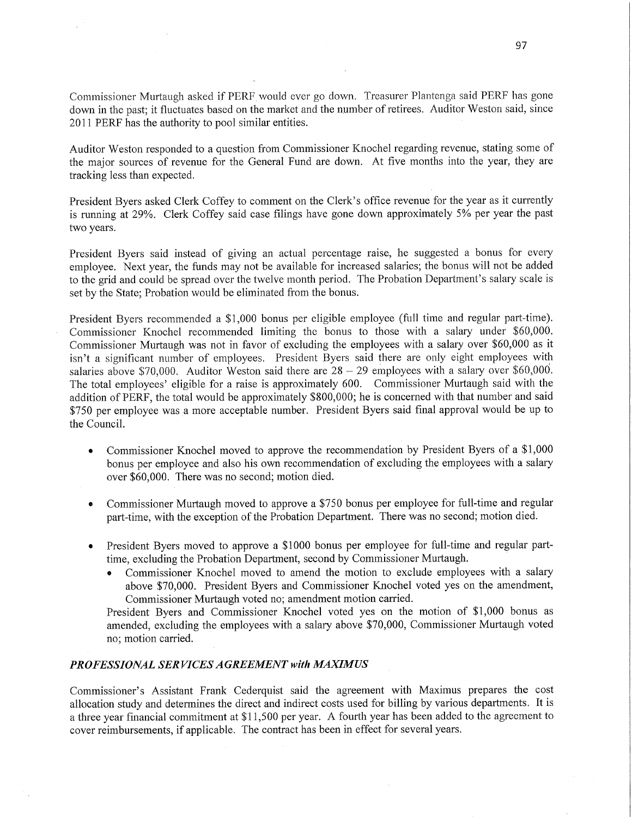Commissioner Murtaugh asked if PERF would ever go down. Treasurer Plantenga said PERF has gone down in the past; it fluctuates based on the market and the number of retirees. Auditor Weston said, since 2011 PERF has the authority to pool similar entities.

Auditor Weston responded to a question from Commissioner Knochel regarding revenue, stating some of the major sources of revenue for the General Fund are down. At five months **into** the year, they are tracking less than expected.

President Byers asked Clerk Coffey to comment on the Clerk's office revenue for the year as it currently is running at **29%.** Clerk Coffey said case filings have gone down approximately 5% per year the pas<sup>t</sup> two years.

President Byers said instead of giving an actual percentage raise, he suggested a bonus for every employee. Next year, the funds may not be available for increased salaries; the bonus will not be added to the grid and could be spread over the twelve month period, The Probation Department's salary scale is set by the State; Probation would be eliminated from the bonus.

President Byers recommended a \$1,000 bonus per eligible employee (full time and regular part-time). Commissioner Knochel recommended limiting the bonus to those with a salary under \$60,000. Commissioner Murtaugh was not in favor of excluding the employees with a salary over \$60, 000 as it isn't a significant number of employees. President Byers said there are only eight employees with salaries above \$70,000. Auditor Weston said there are  $28 - 29$  employees with a salary over \$60,000. The total employees' eligible for a raise is approximately 600. Commissioner Murtaugh said with the addition of PERF, the total would be approximately \$800,000; he is concerned with that number and said \$750 per employee was a more acceptable number. President Byers said final approval would be up to the Council.

- **<sup>0</sup>**Commissioner Knochel moved to approve the **recommendatiofi** by President Byers of **a** \$1, <sup>000</sup> bonus per employee and also his own recommendation of excluding the employees **with** a salary over \$60,000. There was no second; motion died.
- **<sup>0</sup>**Commissioner Murtaugh moved to approve <sup>a</sup>\$750 bonus per employee for' **full-time** and regular **part-time,** with the exception of the Probation Department. There was no second; motion **died.**
- **<sup>0</sup>**President Byers moved to approve a \$1000 bonus per employee for full-time and regular parttime, excluding the Probation Department, second by Commissioner Murtaugh. '
	- Commissioner Knochel moved to amend the motion to exclude employees with a salary above \$70,000. President Byers and Commissioner Knochel voted yes on the amendment, Commissioner Murtaugh voted no; amendment motion carried.

President Byers and Commissioner Knochel voted yes on the motion of \$1,000 bonus as amended, excluding the employees with a salary above \$70,000, Commissioner Murtaugh voted no; motion carried.

## **PROFESSIONAL SERVICES AGREEMENT with MAXIMUS**

Commissioner's Assistant Frank Cederquist said the agreement with Maximus prepares the cost allocation study and determines the direct and indirect costs used for billing by various departments. It is a three year financial commitment at \$11,500 per year. **A** fourth year has been added to the agreement to cover reimbursements, if applicable. The contract has been in effect for several years.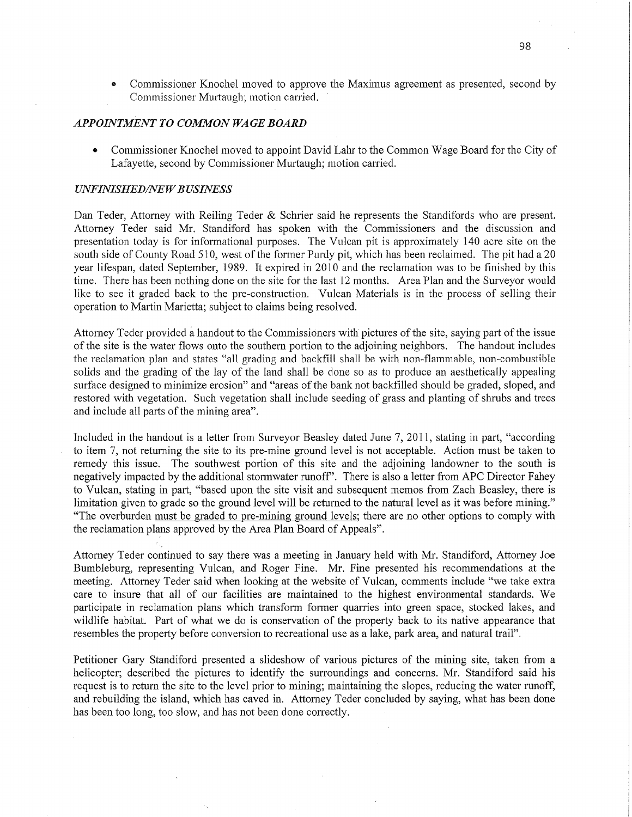**0** Commissioner Knochel moved to approve the Maximus agreement as presented, second by Commissioner Murtaugh; motion carried. '

#### *APPOINTMENT TO COMMON WAGE BOARD*

**0** Commissioner Knochel moved to appoint David Lahr to the Common Wage Board for the City of Lafayette, second by Commissioner Murtaugh; motion carried.

### *UNFINISHED/NE W B USINESS*

Dan Teder, Attorney with Reiling Teder & Schrier said he represents the Standifords who are present. Attorney Teder said Mr. Standiford has spoken with the Commissioners and the discussion and presentation today is for informational purposes. The Vulcan pit is approximately 140 acre site on the south side of County Road 510, west of the former Purdy pit, which has been reclaimed. The pit had a 20 year lifespan, dated September, 1989. It expired in 2010 and the reclamation was to be finished by this time. There has been nothing done on the site for the last 12 months. Area Plan and the Surveyor would like to see it graded back to the pre-construction. Vulcan Materials is in the process of selling their operation to Martin Marietta; subject to claims being resolved.

Attorney Teder provided a handout to the Commissioners with pictures of the site, saying part of the issue of the site is the water flows onto the southern portion to the adjoining neighbors. The handout includes the reclamation plan and states "all grading and backfill shall be with non-flammable, non-combustible solids and the grading of the lay of the land shall be done so as to produce an aesthetically appealing surface designed to minimize erosion" and "areas of the bank not backfilled should be graded, sloped, and restored with vegetation. Such vegetation shall include seeding of grass and planting of shrubs and trees and include all parts of the mining area".

Included in the handout is a letter from Surveyor Beasley dated June 7, 2011, stating in part, "according to item 7, not returning the site to its pre-mine ground level is not acceptable. Action must be taken to remedy this issue. The southwest portion of this site and the adjoining landowner to the south is negatively impacted by the additional stormwater runoff". There is also a letter from APC Director Fahey to Vulcan, stating in part, "based upon the site visit and subsequent memos from Zach Beasley, there is limitation given to grade so the ground level will be returned to the natural level as it was before mining." "The overburden must be graded to pre-mining ground levels; there are no other options to comply with the reclamation plans approved by the Area Plan Board of Appeals".

Attorney Teder continued to say there was a meeting in January held with Mr. Standiford, Attorney Joe Bumbleburg, representing Vulcan, and Roger Fine. Mr. Fine presented his recommendations at the meeting. Attorney Teder said when looking at the website of Vulcan, comments include "we take extra care to insure that all of our facilities are maintained to the highest environmental standards. We participate in reclamation plans which transform former quarries into green space, stocked lakes, and wildlife habitat. Part of what we do is conservation of the property back to its native appearance that resembles the property before conversion to recreational use as a lake, park area, and natural trail".

Petitioner Gary Standiford presented a slideshow of various pictures of the mining site, taken from <sup>a</sup> helicopter; described the pictures to identify the surroundings and concerns. Mr. Standiford said his request is to return the site to the level prior to mining; maintaining the slopes, reducing the water runoff, and rebuilding the island, which has caved in. Attorney Teder concluded by saying, what has been done has been too long, too slow, and has not been done correctly.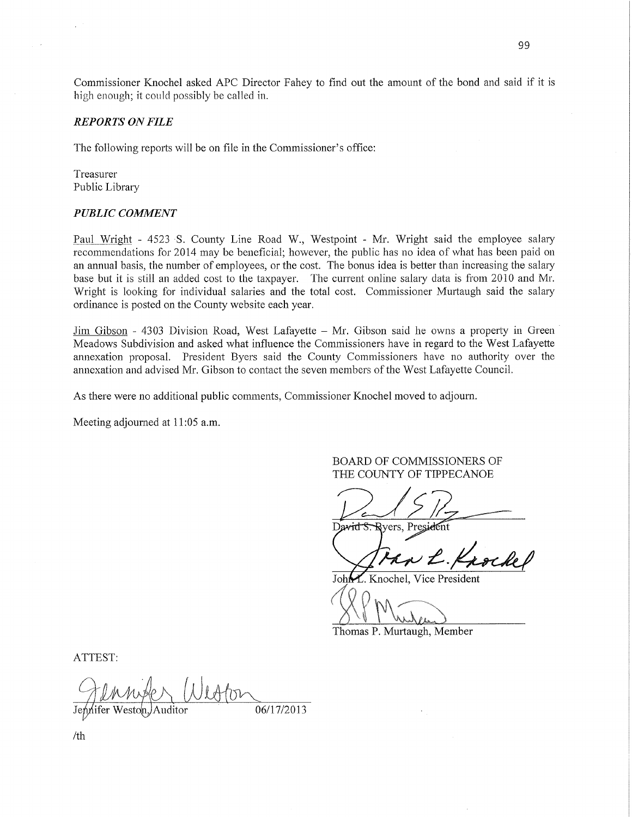Commissioner Knochel asked APC Director Fahey to find out the amount of the bond and said if it is high enough; it could possibly be called in.

### *REPORTS* ON *FILE*

The following reports will be on file in the Commissioner's office:

Treasurer Public Library

#### *PUBLIC COMMENT*

Paul Wright *-* 4523 '8. County Line Road W., Westpoint *-* Mr. Wright said the employee salary recommendations for 2014 may be beneficial; however, the public has no idea of what has been paid on an annual basis, the number of employees, or the cost. The bonus idea is better than increasing the salary base but it is still an added cost to the taxpayer. The current online salary data is from 2010 and Mr. Wright is looking for individual salaries and the total cost. Commissioner Murtaugh said the salary ordinance is posted on the County website each year.

Jim Gibson - 4303 Division Road, West Lafayette – Mr. Gibson said he owns a property in Green Meadows Subdivision and asked What influence the Commissioners have in regard to the West Lafayette annexation proposal. President Byers said the County Commissioners have no authority over the annexation and advised Mr. Gibson to contact the seven members of the West Lafayette Council.

As there were no additional public comments, Commissioner Knochel moved to adjourn.

Meeting adjourned at 11:05 a.m.

BOARD OF COMMISSIONERS OF THE COUNTY OF TIPPECANOE

2/5 *7.7/—* 

David S. Ryers, President

Fan L. Kaochel

Knochel, Vice President

WMW

ATTEST:

06/17/2013